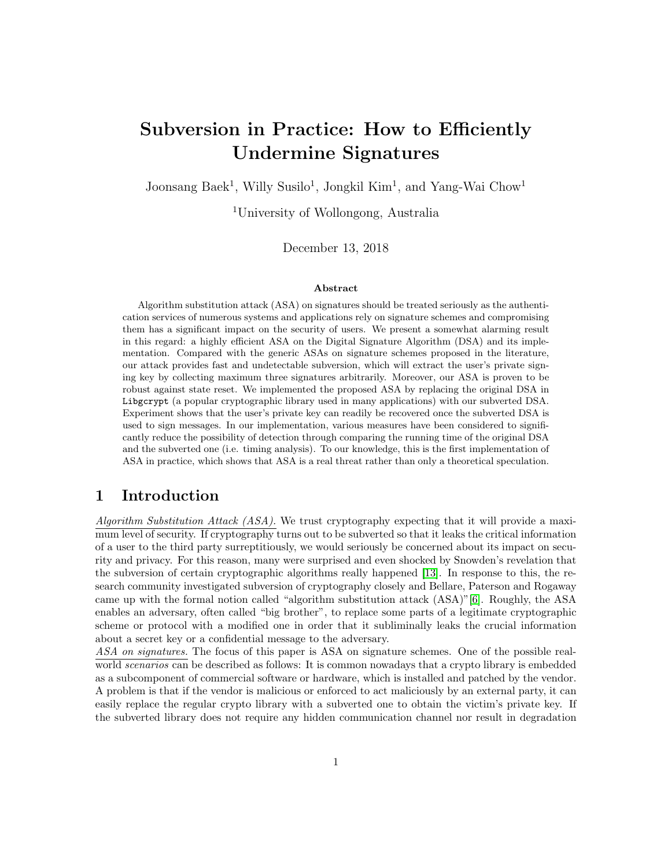# Subversion in Practice: How to Efficiently Undermine Signatures

Joonsang Baek<sup>1</sup>, Willy Susilo<sup>1</sup>, Jongkil Kim<sup>1</sup>, and Yang-Wai Chow<sup>1</sup>

<sup>1</sup>University of Wollongong, Australia

December 13, 2018

#### Abstract

Algorithm substitution attack (ASA) on signatures should be treated seriously as the authentication services of numerous systems and applications rely on signature schemes and compromising them has a significant impact on the security of users. We present a somewhat alarming result in this regard: a highly efficient ASA on the Digital Signature Algorithm (DSA) and its implementation. Compared with the generic ASAs on signature schemes proposed in the literature, our attack provides fast and undetectable subversion, which will extract the user's private signing key by collecting maximum three signatures arbitrarily. Moreover, our ASA is proven to be robust against state reset. We implemented the proposed ASA by replacing the original DSA in Libgcrypt (a popular cryptographic library used in many applications) with our subverted DSA. Experiment shows that the user's private key can readily be recovered once the subverted DSA is used to sign messages. In our implementation, various measures have been considered to significantly reduce the possibility of detection through comparing the running time of the original DSA and the subverted one (i.e. timing analysis). To our knowledge, this is the first implementation of ASA in practice, which shows that ASA is a real threat rather than only a theoretical speculation.

## 1 Introduction

Algorithm Substitution Attack (ASA). We trust cryptography expecting that it will provide a maximum level of security. If cryptography turns out to be subverted so that it leaks the critical information of a user to the third party surreptitiously, we would seriously be concerned about its impact on security and privacy. For this reason, many were surprised and even shocked by Snowden's revelation that the subversion of certain cryptographic algorithms really happened [\[13\]](#page-17-0). In response to this, the research community investigated subversion of cryptography closely and Bellare, Paterson and Rogaway came up with the formal notion called "algorithm substitution attack (ASA)"[\[6\]](#page-17-1). Roughly, the ASA enables an adversary, often called "big brother", to replace some parts of a legitimate cryptographic scheme or protocol with a modified one in order that it subliminally leaks the crucial information about a secret key or a confidential message to the adversary.

ASA on signatures. The focus of this paper is ASA on signature schemes. One of the possible realworld *scenarios* can be described as follows: It is common nowadays that a crypto library is embedded as a subcomponent of commercial software or hardware, which is installed and patched by the vendor. A problem is that if the vendor is malicious or enforced to act maliciously by an external party, it can easily replace the regular crypto library with a subverted one to obtain the victim's private key. If the subverted library does not require any hidden communication channel nor result in degradation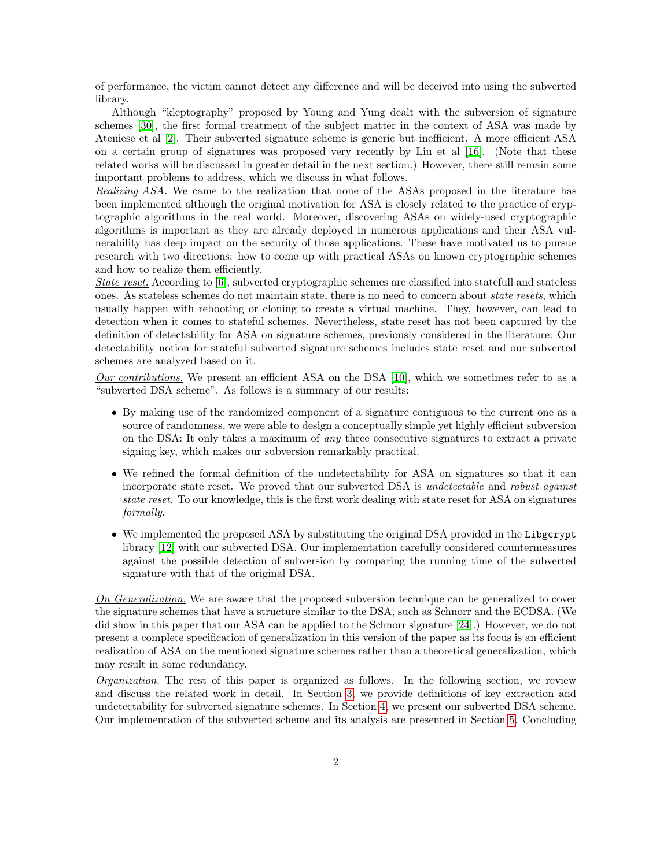of performance, the victim cannot detect any difference and will be deceived into using the subverted library.

Although "kleptography" proposed by Young and Yung dealt with the subversion of signature schemes [\[30\]](#page-18-0), the first formal treatment of the subject matter in the context of ASA was made by Ateniese et al [\[2\]](#page-17-2). Their subverted signature scheme is generic but inefficient. A more efficient ASA on a certain group of signatures was proposed very recently by Liu et al [\[16\]](#page-17-3). (Note that these related works will be discussed in greater detail in the next section.) However, there still remain some important problems to address, which we discuss in what follows.

Realizing ASA. We came to the realization that none of the ASAs proposed in the literature has been implemented although the original motivation for ASA is closely related to the practice of cryptographic algorithms in the real world. Moreover, discovering ASAs on widely-used cryptographic algorithms is important as they are already deployed in numerous applications and their ASA vulnerability has deep impact on the security of those applications. These have motivated us to pursue research with two directions: how to come up with practical ASAs on known cryptographic schemes and how to realize them efficiently.

State reset. According to [\[6\]](#page-17-1), subverted cryptographic schemes are classified into statefull and stateless ones. As stateless schemes do not maintain state, there is no need to concern about state resets, which usually happen with rebooting or cloning to create a virtual machine. They, however, can lead to detection when it comes to stateful schemes. Nevertheless, state reset has not been captured by the definition of detectability for ASA on signature schemes, previously considered in the literature. Our detectability notion for stateful subverted signature schemes includes state reset and our subverted schemes are analyzed based on it.

 $Our contributions.$  We present an efficient ASA on the DSA [\[10\]](#page-17-4), which we sometimes refer to as a "subverted DSA scheme". As follows is a summary of our results:

- By making use of the randomized component of a signature contiguous to the current one as a source of randomness, we were able to design a conceptually simple yet highly efficient subversion on the DSA: It only takes a maximum of any three consecutive signatures to extract a private signing key, which makes our subversion remarkably practical.
- We refined the formal definition of the undetectability for ASA on signatures so that it can incorporate state reset. We proved that our subverted DSA is undetectable and robust against state reset. To our knowledge, this is the first work dealing with state reset for ASA on signatures formally.
- We implemented the proposed ASA by substituting the original DSA provided in the Libgcrypt library [\[12\]](#page-17-5) with our subverted DSA. Our implementation carefully considered countermeasures against the possible detection of subversion by comparing the running time of the subverted signature with that of the original DSA.

On Generalization. We are aware that the proposed subversion technique can be generalized to cover the signature schemes that have a structure similar to the DSA, such as Schnorr and the ECDSA. (We did show in this paper that our ASA can be applied to the Schnorr signature [\[24\]](#page-18-1).) However, we do not present a complete specification of generalization in this version of the paper as its focus is an efficient realization of ASA on the mentioned signature schemes rather than a theoretical generalization, which may result in some redundancy.

Organization. The rest of this paper is organized as follows. In the following section, we review and discuss the related work in detail. In Section [3,](#page-4-0) we provide definitions of key extraction and undetectability for subverted signature schemes. In Section [4,](#page-6-0) we present our subverted DSA scheme. Our implementation of the subverted scheme and its analysis are presented in Section [5.](#page-10-0) Concluding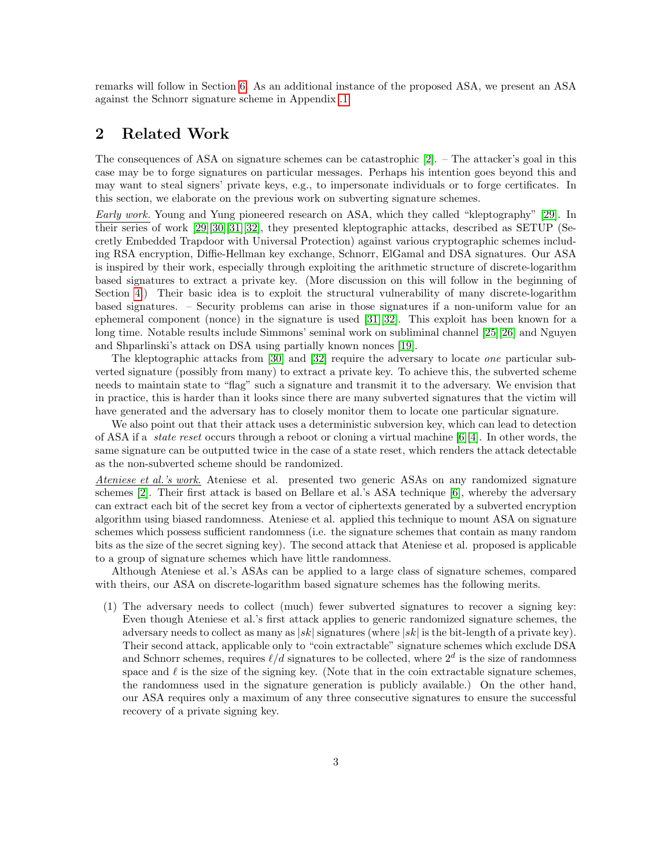remarks will follow in Section [6.](#page-16-0) As an additional instance of the proposed ASA, we present an ASA against the Schnorr signature scheme in Appendix [.1.](#page-18-2)

## <span id="page-2-0"></span>2 Related Work

The consequences of ASA on signature schemes can be catastrophic [\[2\]](#page-17-2). – The attacker's goal in this case may be to forge signatures on particular messages. Perhaps his intention goes beyond this and may want to steal signers' private keys, e.g., to impersonate individuals or to forge certificates. In this section, we elaborate on the previous work on subverting signature schemes.

Early work. Young and Yung pioneered research on ASA, which they called "kleptography" [\[29\]](#page-18-3). In their series of work [\[29\]](#page-18-3)[\[30\]](#page-18-0)[\[31\]](#page-18-4)[\[32\]](#page-18-5), they presented kleptographic attacks, described as SETUP (Secretly Embedded Trapdoor with Universal Protection) against various cryptographic schemes including RSA encryption, Diffie-Hellman key exchange, Schnorr, ElGamal and DSA signatures. Our ASA is inspired by their work, especially through exploiting the arithmetic structure of discrete-logarithm based signatures to extract a private key. (More discussion on this will follow in the beginning of Section [4.](#page-6-0)) Their basic idea is to exploit the structural vulnerability of many discrete-logarithm based signatures. – Security problems can arise in those signatures if a non-uniform value for an ephemeral component (nonce) in the signature is used [\[31\]](#page-18-4)[\[32\]](#page-18-5). This exploit has been known for a long time. Notable results include Simmons' seminal work on subliminal channel [\[25\]](#page-18-6)[\[26\]](#page-18-7) and Nguyen and Shparlinski's attack on DSA using partially known nonces [\[19\]](#page-18-8).

The kleptographic attacks from [\[30\]](#page-18-0) and [\[32\]](#page-18-5) require the adversary to locate one particular subverted signature (possibly from many) to extract a private key. To achieve this, the subverted scheme needs to maintain state to "flag" such a signature and transmit it to the adversary. We envision that in practice, this is harder than it looks since there are many subverted signatures that the victim will have generated and the adversary has to closely monitor them to locate one particular signature.

We also point out that their attack uses a deterministic subversion key, which can lead to detection of ASA if a *state reset* occurs through a reboot or cloning a virtual machine  $[6][4]$  $[6][4]$ . In other words, the same signature can be outputted twice in the case of a state reset, which renders the attack detectable as the non-subverted scheme should be randomized.

Ateniese et al.'s work. Ateniese et al. presented two generic ASAs on any randomized signature schemes [\[2\]](#page-17-2). Their first attack is based on Bellare et al.'s ASA technique [\[6\]](#page-17-1), whereby the adversary can extract each bit of the secret key from a vector of ciphertexts generated by a subverted encryption algorithm using biased randomness. Ateniese et al. applied this technique to mount ASA on signature schemes which possess sufficient randomness (i.e. the signature schemes that contain as many random bits as the size of the secret signing key). The second attack that Ateniese et al. proposed is applicable to a group of signature schemes which have little randomness.

Although Ateniese et al.'s ASAs can be applied to a large class of signature schemes, compared with theirs, our ASA on discrete-logarithm based signature schemes has the following merits.

(1) The adversary needs to collect (much) fewer subverted signatures to recover a signing key: Even though Ateniese et al.'s first attack applies to generic randomized signature schemes, the adversary needs to collect as many as  $|sk|$  signatures (where  $|sk|$  is the bit-length of a private key). Their second attack, applicable only to "coin extractable" signature schemes which exclude DSA and Schnorr schemes, requires  $\ell/d$  signatures to be collected, where  $2^d$  is the size of randomness space and  $\ell$  is the size of the signing key. (Note that in the coin extractable signature schemes, the randomness used in the signature generation is publicly available.) On the other hand, our ASA requires only a maximum of any three consecutive signatures to ensure the successful recovery of a private signing key.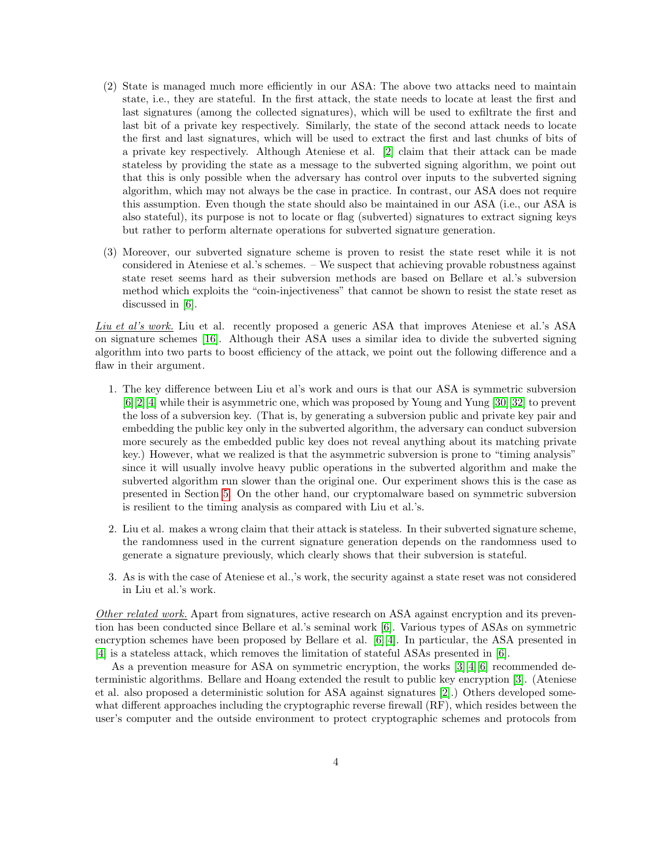- (2) State is managed much more efficiently in our ASA: The above two attacks need to maintain state, i.e., they are stateful. In the first attack, the state needs to locate at least the first and last signatures (among the collected signatures), which will be used to exfiltrate the first and last bit of a private key respectively. Similarly, the state of the second attack needs to locate the first and last signatures, which will be used to extract the first and last chunks of bits of a private key respectively. Although Ateniese et al. [\[2\]](#page-17-2) claim that their attack can be made stateless by providing the state as a message to the subverted signing algorithm, we point out that this is only possible when the adversary has control over inputs to the subverted signing algorithm, which may not always be the case in practice. In contrast, our ASA does not require this assumption. Even though the state should also be maintained in our ASA (i.e., our ASA is also stateful), its purpose is not to locate or flag (subverted) signatures to extract signing keys but rather to perform alternate operations for subverted signature generation.
- (3) Moreover, our subverted signature scheme is proven to resist the state reset while it is not considered in Ateniese et al.'s schemes. – We suspect that achieving provable robustness against state reset seems hard as their subversion methods are based on Bellare et al.'s subversion method which exploits the "coin-injectiveness" that cannot be shown to resist the state reset as discussed in [\[6\]](#page-17-1).

Liu et al's work. Liu et al. recently proposed a generic ASA that improves Ateniese et al.'s ASA on signature schemes [\[16\]](#page-17-3). Although their ASA uses a similar idea to divide the subverted signing algorithm into two parts to boost efficiency of the attack, we point out the following difference and a flaw in their argument.

- 1. The key difference between Liu et al's work and ours is that our ASA is symmetric subversion [\[6\]](#page-17-1)[\[2\]](#page-17-2)[\[4\]](#page-17-6) while their is asymmetric one, which was proposed by Young and Yung [\[30\]](#page-18-0)[\[32\]](#page-18-5) to prevent the loss of a subversion key. (That is, by generating a subversion public and private key pair and embedding the public key only in the subverted algorithm, the adversary can conduct subversion more securely as the embedded public key does not reveal anything about its matching private key.) However, what we realized is that the asymmetric subversion is prone to "timing analysis" since it will usually involve heavy public operations in the subverted algorithm and make the subverted algorithm run slower than the original one. Our experiment shows this is the case as presented in Section [5.](#page-10-0) On the other hand, our cryptomalware based on symmetric subversion is resilient to the timing analysis as compared with Liu et al.'s.
- 2. Liu et al. makes a wrong claim that their attack is stateless. In their subverted signature scheme, the randomness used in the current signature generation depends on the randomness used to generate a signature previously, which clearly shows that their subversion is stateful.
- 3. As is with the case of Ateniese et al.,'s work, the security against a state reset was not considered in Liu et al.'s work.

Other related work. Apart from signatures, active research on ASA against encryption and its prevention has been conducted since Bellare et al.'s seminal work [\[6\]](#page-17-1). Various types of ASAs on symmetric encryption schemes have been proposed by Bellare et al. [\[6\]](#page-17-1)[\[4\]](#page-17-6). In particular, the ASA presented in [\[4\]](#page-17-6) is a stateless attack, which removes the limitation of stateful ASAs presented in [\[6\]](#page-17-1).

As a prevention measure for ASA on symmetric encryption, the works [\[3\]](#page-17-7)[\[4\]](#page-17-6)[\[6\]](#page-17-1) recommended deterministic algorithms. Bellare and Hoang extended the result to public key encryption [\[3\]](#page-17-7). (Ateniese et al. also proposed a deterministic solution for ASA against signatures [\[2\]](#page-17-2).) Others developed somewhat different approaches including the cryptographic reverse firewall (RF), which resides between the user's computer and the outside environment to protect cryptographic schemes and protocols from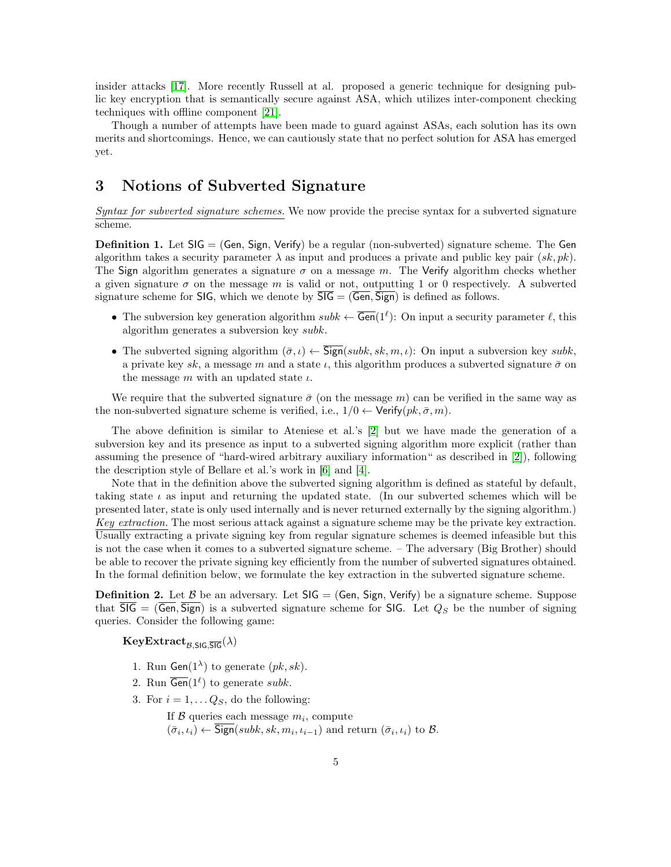insider attacks [\[17\]](#page-17-8). More recently Russell at al. proposed a generic technique for designing public key encryption that is semantically secure against ASA, which utilizes inter-component checking techniques with offline component [\[21\]](#page-18-9).

Though a number of attempts have been made to guard against ASAs, each solution has its own merits and shortcomings. Hence, we can cautiously state that no perfect solution for ASA has emerged yet.

## <span id="page-4-0"></span>3 Notions of Subverted Signature

Syntax for subverted signature schemes. We now provide the precise syntax for a subverted signature scheme.

**Definition 1.** Let  $SIG = (Gen, Sign, Verify)$  be a regular (non-subverted) signature scheme. The Gen algorithm takes a security parameter  $\lambda$  as input and produces a private and public key pair  $(s_k, pk)$ . The Sign algorithm generates a signature  $\sigma$  on a message m. The Verify algorithm checks whether a given signature  $\sigma$  on the message m is valid or not, outputting 1 or 0 respectively. A subverted signature scheme for SIG, which we denote by  $\overline{SIG} = (\overline{Gen}, \overline{Sign})$  is defined as follows.

- The subversion key generation algorithm  $subk \leftarrow \overline{\text{Gen}}(1^{\ell})$ : On input a security parameter  $\ell$ , this algorithm generates a subversion key subk.
- The subverted signing algorithm  $(\bar{\sigma}, \iota) \leftarrow \overline{\text{Sign}}(subk, sk, m, \iota)$ : On input a subversion key subk, a private key sk, a message m and a state  $\iota$ , this algorithm produces a subverted signature  $\bar{\sigma}$  on the message m with an updated state  $\iota$ .

We require that the subverted signature  $\bar{\sigma}$  (on the message m) can be verified in the same way as the non-subverted signature scheme is verified, i.e.,  $1/0 \leftarrow$  Verify $(pk, \bar{\sigma}, m)$ .

The above definition is similar to Ateniese et al.'s [\[2\]](#page-17-2) but we have made the generation of a subversion key and its presence as input to a subverted signing algorithm more explicit (rather than assuming the presence of "hard-wired arbitrary auxiliary information" as described in [\[2\]](#page-17-2)), following the description style of Bellare et al.'s work in [\[6\]](#page-17-1) and [\[4\]](#page-17-6).

Note that in the definition above the subverted signing algorithm is defined as stateful by default, taking state  $\iota$  as input and returning the updated state. (In our subverted schemes which will be presented later, state is only used internally and is never returned externally by the signing algorithm.) Key extraction. The most serious attack against a signature scheme may be the private key extraction. Usually extracting a private signing key from regular signature schemes is deemed infeasible but this is not the case when it comes to a subverted signature scheme. – The adversary (Big Brother) should be able to recover the private signing key efficiently from the number of subverted signatures obtained. In the formal definition below, we formulate the key extraction in the subverted signature scheme.

**Definition 2.** Let  $\beta$  be an adversary. Let  $\text{SIG} = (\text{Gen}, \text{Sign}, \text{Verify})$  be a signature scheme. Suppose that  $\overline{\text{SIG}} = (\overline{\text{Gen}}, \overline{\text{Sign}})$  is a subverted signature scheme for SIG. Let  $Q_S$  be the number of signing queries. Consider the following game:

 $KeyExtract_{\mathcal{B}}_{\mathcal{SIG}}\overline{\mathcal{SIG}}(\lambda)$ 

- 1. Run Gen( $1^{\lambda}$ ) to generate  $(pk, sk)$ .
- 2. Run  $\overline{\text{Gen}}(1^{\ell})$  to generate subk.
- 3. For  $i = 1, \ldots Q_S$ , do the following:

If  $\mathcal B$  queries each message  $m_i$ , compute  $(\bar{\sigma}_i, \iota_i) \leftarrow$  Sign(subk, sk,  $m_i, \iota_{i-1}$ ) and return  $(\bar{\sigma}_i, \iota_i)$  to  $\mathcal{B}$ .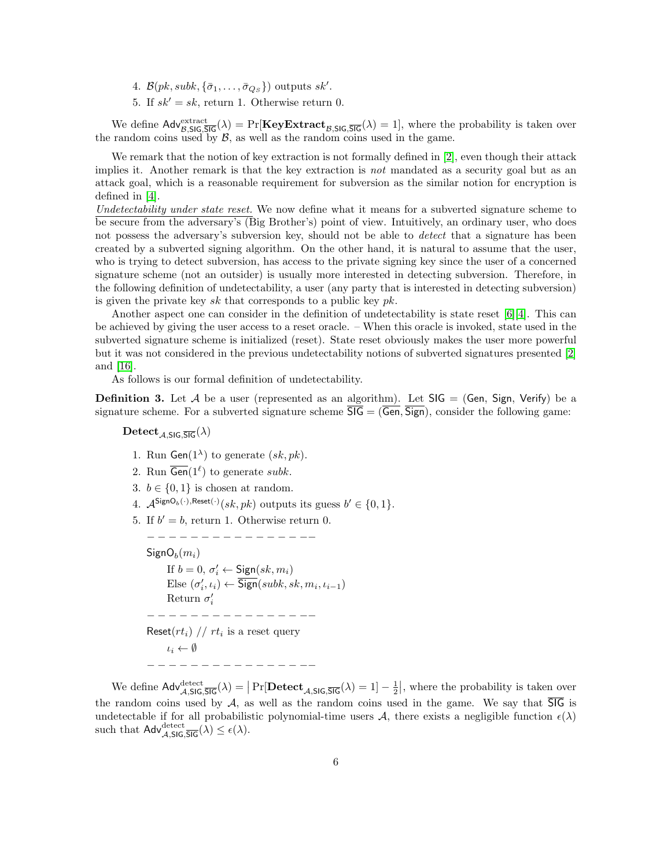- 4.  $\mathcal{B}(pk, subk, {\bar{\sigma}}_1, \ldots, {\bar{\sigma}}_{Q_S})$  outputs  $sk'.$
- 5. If  $sk' = sk$ , return 1. Otherwise return 0.

We define  $\mathsf{Adv}_{\mathcal{B},\mathsf{SIG},\overline{\mathsf{SIG}}}^{\text{extract}}(\lambda) = \Pr[\mathbf{KeyExtract}_{\mathcal{B},\mathsf{SIG},\overline{\mathsf{SIG}}}(\lambda) = 1]$ , where the probability is taken over the random coins used by  $\mathcal{B}$ , as well as the random coins used in the game.

We remark that the notion of key extraction is not formally defined in [\[2\]](#page-17-2), even though their attack implies it. Another remark is that the key extraction is *not* mandated as a security goal but as an attack goal, which is a reasonable requirement for subversion as the similar notion for encryption is defined in [\[4\]](#page-17-6).

Undetectability under state reset. We now define what it means for a subverted signature scheme to be secure from the adversary's (Big Brother's) point of view. Intuitively, an ordinary user, who does not possess the adversary's subversion key, should not be able to *detect* that a signature has been created by a subverted signing algorithm. On the other hand, it is natural to assume that the user, who is trying to detect subversion, has access to the private signing key since the user of a concerned signature scheme (not an outsider) is usually more interested in detecting subversion. Therefore, in the following definition of undetectability, a user (any party that is interested in detecting subversion) is given the private key  $sk$  that corresponds to a public key  $pk$ .

Another aspect one can consider in the definition of undetectability is state reset  $[6][4]$  $[6][4]$ . This can be achieved by giving the user access to a reset oracle. – When this oracle is invoked, state used in the subverted signature scheme is initialized (reset). State reset obviously makes the user more powerful but it was not considered in the previous undetectability notions of subverted signatures presented [\[2\]](#page-17-2) and [\[16\]](#page-17-3).

As follows is our formal definition of undetectability.

<span id="page-5-0"></span>**Definition 3.** Let A be a user (represented as an algorithm). Let  $SIG = (Gen, Sign, Verify)$  be a signature scheme. For a subverted signature scheme  $\overline{SIG} = (\overline{Gen}, \overline{Sign})$ , consider the following game:

## $\text{Detect}_{\mathcal{A},\text{SIG},\overline{\text{SIG}}}(\lambda)$

- 1. Run Gen( $1^{\lambda}$ ) to generate  $(sk, pk)$ .
- 2. Run  $\overline{\text{Gen}}(1^{\ell})$  to generate subk.
- 3.  $b \in \{0, 1\}$  is chosen at random.
- 4.  $\mathcal{A}^{\mathsf{SignO}_b(\cdot),\mathsf{Reset}(\cdot)}(sk,pk)$  outputs its guess  $b' \in \{0,1\}.$
- 5. If  $b' = b$ , return 1. Otherwise return 0.

− − − − − − − − − − − − − − −−  $\mathsf{SignO}_b(m_i)$ If  $b = 0, \sigma'_i \leftarrow$  Sign $(sk, m_i)$ Else  $(\sigma'_i, \iota_i) \leftarrow \overline{\text{Sign}}(subk, sk, m_i, \iota_{i-1})$ Return  $\sigma_i'$ − − − − − − − − − − − − − − −− Reset $(rt_i)$  //  $rt_i$  is a reset query  $\iota_i \leftarrow \emptyset$ − − − − − − − − − − − − − − −−

We define  $\mathsf{Adv}_{\mathcal{A},\mathsf{SIG},\overline{\mathsf{SIG}}}^{\mathsf{detect}}(\lambda) = |\Pr[\mathbf{Detect}_{\mathcal{A},\mathsf{SIG},\overline{\mathsf{SIG}}}(\lambda) = 1] - \frac{1}{2}|$ , where the probability is taken over the random coins used by  $A$ , as well as the random coins used in the game. We say that  $\overline{SIG}$  is undetectable if for all probabilistic polynomial-time users A, there exists a negligible function  $\epsilon(\lambda)$ such that  $\mathsf{Adv}_{\mathcal{A},\mathsf{SIG},\overline{\mathsf{SIG}}}^{\text{detect}}(\lambda) \leq \epsilon(\lambda).$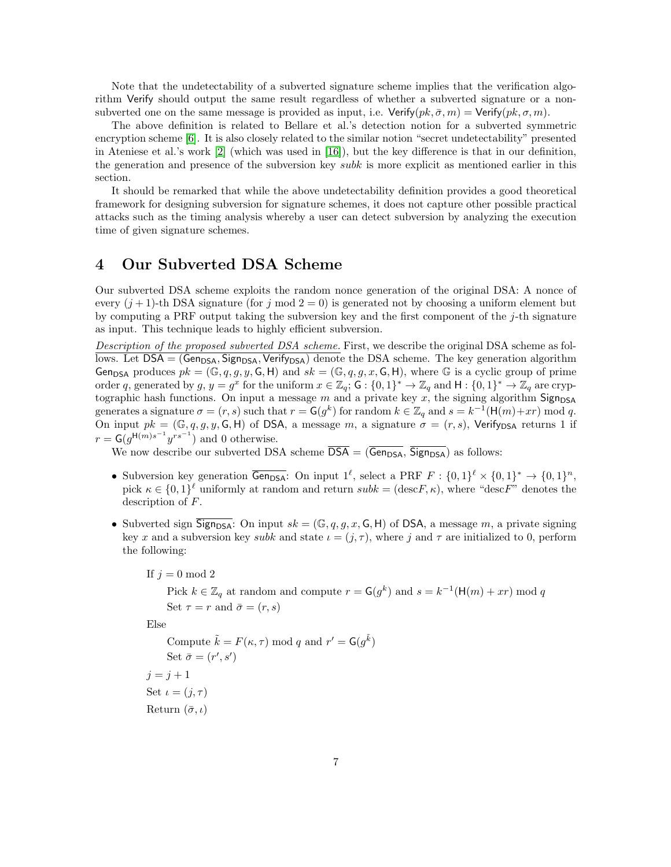Note that the undetectability of a subverted signature scheme implies that the verification algorithm Verify should output the same result regardless of whether a subverted signature or a nonsubverted one on the same message is provided as input, i.e.  $Verify(pk, \bar{\sigma}, m) = Verify(pk, \sigma, m)$ .

The above definition is related to Bellare et al.'s detection notion for a subverted symmetric encryption scheme [\[6\]](#page-17-1). It is also closely related to the similar notion "secret undetectability" presented in Ateniese et al.'s work [\[2\]](#page-17-2) (which was used in [\[16\]](#page-17-3)), but the key difference is that in our definition, the generation and presence of the subversion key subk is more explicit as mentioned earlier in this section.

It should be remarked that while the above undetectability definition provides a good theoretical framework for designing subversion for signature schemes, it does not capture other possible practical attacks such as the timing analysis whereby a user can detect subversion by analyzing the execution time of given signature schemes.

## <span id="page-6-0"></span>4 Our Subverted DSA Scheme

Our subverted DSA scheme exploits the random nonce generation of the original DSA: A nonce of every  $(j+1)$ -th DSA signature (for j mod  $2=0$ ) is generated not by choosing a uniform element but by computing a PRF output taking the subversion key and the first component of the  $j$ -th signature as input. This technique leads to highly efficient subversion.

Description of the proposed subverted DSA scheme. First, we describe the original DSA scheme as follows. Let  $DSA = (Gen<sub>DSA</sub>, Sign<sub>DSA</sub>, Verify<sub>DSA</sub>)$  denote the DSA scheme. The key generation algorithm Gen<sub>DSA</sub> produces  $pk = (\mathbb{G}, q, g, y, \mathsf{G}, \mathsf{H})$  and  $sk = (\mathbb{G}, q, g, x, \mathsf{G}, \mathsf{H})$ , where  $\mathbb{G}$  is a cyclic group of prime order q, generated by  $g, y = g^x$  for the uniform  $x \in \mathbb{Z}_q$ ;  $G : \{0,1\}^* \to \mathbb{Z}_q$  and  $H : \{0,1\}^* \to \mathbb{Z}_q$  are cryptographic hash functions. On input a message  $m$  and a private key  $x$ , the signing algorithm  $Sign_{DSA}$ generates a signature  $\sigma = (r, s)$  such that  $r = G(g^k)$  for random  $k \in \mathbb{Z}_q$  and  $s = k^{-1}(\mathsf{H}(m) + xr) \mod q$ . On input  $pk = (\mathbb{G}, q, g, y, \mathsf{G}, \mathsf{H})$  of DSA, a message m, a signature  $\sigma = (r, s)$ , Verify<sub>DSA</sub> returns 1 if  $r = G(g^{\mathsf{H}(m)s^{-1}}y^{rs^{-1}})$  and 0 otherwise.

We now describe our subverted DSA scheme  $\overline{\text{DSA}} = (\overline{\text{Gen}_{\text{DSA}}}, \overline{\text{Sign}_{\text{DSA}}})$  as follows:

- Subversion key generation  $\overline{\mathsf{Gen}_{\mathsf{DSA}}}\colon$  On input  $1^\ell$ , select a PRF  $F : \{0,1\}^\ell \times \{0,1\}^* \to \{0,1\}^n$ , pick  $\kappa \in \{0,1\}^{\ell}$  uniformly at random and return  $subk = (\text{desc} F, \kappa)$ , where "descF" denotes the description of F.
- Subverted sign  $\overline{\text{Sign}_{\text{DSA}}}$ : On input  $sk = (\mathbb{G}, q, g, x, \mathsf{G}, \mathsf{H})$  of DSA, a message m, a private signing key x and a subversion key subk and state  $\iota = (j, \tau)$ , where j and  $\tau$  are initialized to 0, perform the following:

If  $j = 0 \mod 2$ 

Pick  $k \in \mathbb{Z}_q$  at random and compute  $r = \mathsf{G}(g^k)$  and  $s = k^{-1}(\mathsf{H}(m) + xr) \mod q$ Set  $\tau = r$  and  $\bar{\sigma} = (r, s)$ 

Else

Compute  $\tilde{k} = F(\kappa, \tau) \text{ mod } q$  and  $r' = G(g^{\tilde{k}})$ Set  $\bar{\sigma} = (r', s')$  $j = j + 1$ Set  $\iota = (j, \tau)$ Return  $(\bar{\sigma}, \iota)$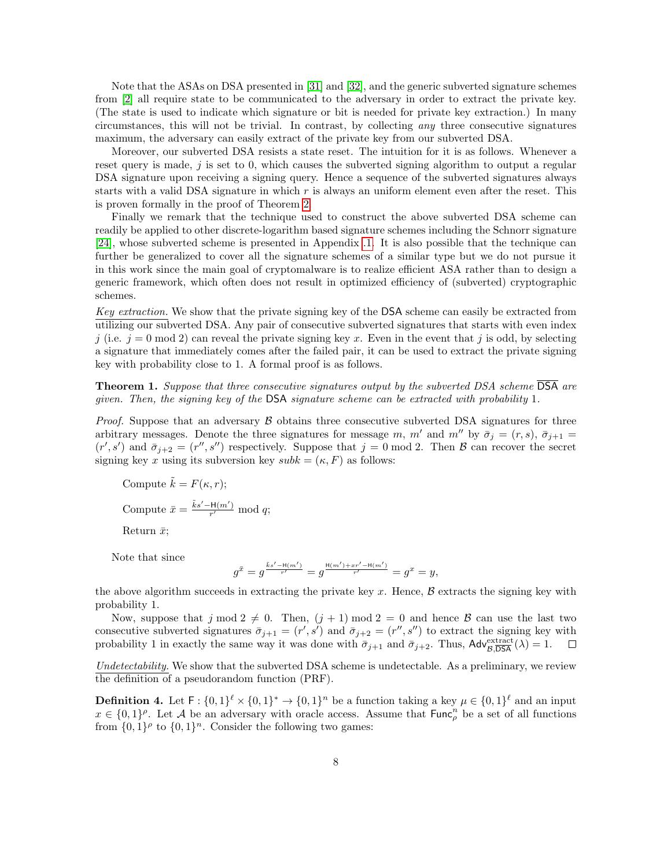Note that the ASAs on DSA presented in [\[31\]](#page-18-4) and [\[32\]](#page-18-5), and the generic subverted signature schemes from [\[2\]](#page-17-2) all require state to be communicated to the adversary in order to extract the private key. (The state is used to indicate which signature or bit is needed for private key extraction.) In many circumstances, this will not be trivial. In contrast, by collecting any three consecutive signatures maximum, the adversary can easily extract of the private key from our subverted DSA.

Moreover, our subverted DSA resists a state reset. The intuition for it is as follows. Whenever a reset query is made,  $j$  is set to 0, which causes the subverted signing algorithm to output a regular DSA signature upon receiving a signing query. Hence a sequence of the subverted signatures always starts with a valid DSA signature in which r is always an uniform element even after the reset. This is proven formally in the proof of Theorem [2.](#page-8-0)

Finally we remark that the technique used to construct the above subverted DSA scheme can readily be applied to other discrete-logarithm based signature schemes including the Schnorr signature [\[24\]](#page-18-1), whose subverted scheme is presented in Appendix [.1.](#page-18-2) It is also possible that the technique can further be generalized to cover all the signature schemes of a similar type but we do not pursue it in this work since the main goal of cryptomalware is to realize efficient ASA rather than to design a generic framework, which often does not result in optimized efficiency of (subverted) cryptographic schemes.

Key extraction. We show that the private signing key of the DSA scheme can easily be extracted from utilizing our subverted DSA. Any pair of consecutive subverted signatures that starts with even index j (i.e.  $j = 0 \mod 2$ ) can reveal the private signing key x. Even in the event that j is odd, by selecting a signature that immediately comes after the failed pair, it can be used to extract the private signing key with probability close to 1. A formal proof is as follows.

<span id="page-7-0"></span>**Theorem 1.** Suppose that three consecutive signatures output by the subverted DSA scheme  $\overline{DSA}$  are given. Then, the signing key of the DSA signature scheme can be extracted with probability 1.

*Proof.* Suppose that an adversary  $\beta$  obtains three consecutive subverted DSA signatures for three arbitrary messages. Denote the three signatures for message m, m' and m'' by  $\bar{\sigma}_i = (r, s)$ ,  $\bar{\sigma}_{i+1} =$  $(r', s')$  and  $\bar{\sigma}_{j+2} = (r'', s'')$  respectively. Suppose that  $j = 0 \text{ mod } 2$ . Then  $\beta$  can recover the secret signing key x using its subversion key  $subk = (\kappa, F)$  as follows:

Compute  $\tilde{k} = F(\kappa, r);$ Compute  $\bar{x} = \frac{\tilde{k}s' - H(m')}{r'}$  $\frac{\ln(m)}{r'} \mod q;$ 

Return  $\bar{x}$ ;

Note that since

$$
g^{\bar{x}}=g^{\frac{\bar{k}s'-\mathrm{H}(m')}{r'}}=g^{\frac{\mathrm{H}(m')+xr'-\mathrm{H}(m')}{r'}}=g^x=y,
$$

the above algorithm succeeds in extracting the private key x. Hence,  $\beta$  extracts the signing key with probability 1.

Now, suppose that j mod  $2 \neq 0$ . Then,  $(j + 1)$  mod  $2 = 0$  and hence B can use the last two consecutive subverted signatures  $\bar{\sigma}_{j+1} = (r', s')$  and  $\bar{\sigma}_{j+2} = (r'', s'')$  to extract the signing key with probability 1 in exactly the same way it was done with  $\bar{\sigma}_{j+1}$  and  $\bar{\sigma}_{j+2}$ . Thus,  $\mathsf{Adv}_{\mathcal{B},\overline{\mathsf{DSA}}}^{\text{extract}}(\lambda) = 1$ .  $\Box$ 

Undetectability. We show that the subverted DSA scheme is undetectable. As a preliminary, we review the definition of a pseudorandom function (PRF).

**Definition 4.** Let  $F: \{0,1\}^{\ell} \times \{0,1\}^* \to \{0,1\}^n$  be a function taking a key  $\mu \in \{0,1\}^{\ell}$  and an input  $x \in \{0,1\}^{\rho}$ . Let A be an adversary with oracle access. Assume that  $\mathsf{Func}_{\rho}^n$  be a set of all functions from  $\{0,1\}^p$  to  $\{0,1\}^n$ . Consider the following two games: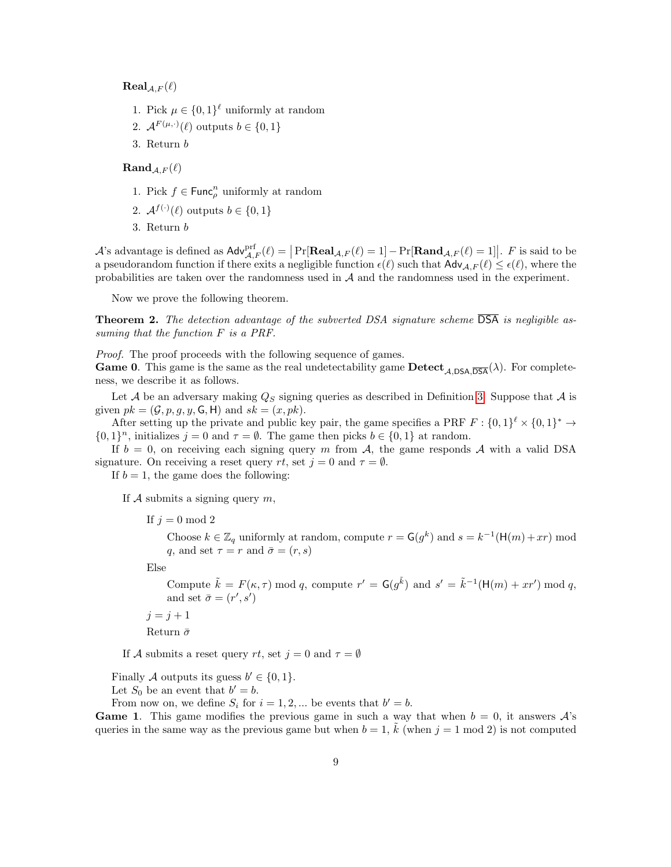$\text{Real}_{A,F}(\ell)$ 

- 1. Pick  $\mu \in \{0,1\}^{\ell}$  uniformly at random
- 2.  $\mathcal{A}^{F(\mu,\cdot)}(\ell)$  outputs  $b \in \{0,1\}$
- 3. Return b

 $\mathbf{Rand}_{\mathcal{A},F}(\ell)$ 

- 1. Pick  $f \in \text{Func}_{\rho}^n$  uniformly at random
- 2.  $\mathcal{A}^{f(\cdot)}(\ell)$  outputs  $b \in \{0, 1\}$
- 3. Return b

A's advantage is defined as  $\mathsf{Adv}_{\mathcal{A},F}^{\text{prf}}(\ell) = |\Pr[\mathbf{Real}_{\mathcal{A},F}(\ell) = 1] - \Pr[\mathbf{Rand}_{\mathcal{A},F}(\ell) = 1]|$ . F is said to be a pseudorandom function if there exits a negligible function  $\epsilon(\ell)$  such that  $\mathsf{Adv}_{\mathcal{A},F}(\ell) \leq \epsilon(\ell)$ , where the probabilities are taken over the randomness used in A and the randomness used in the experiment.

Now we prove the following theorem.

<span id="page-8-0"></span>**Theorem 2.** The detection advantage of the subverted DSA signature scheme  $\overline{DSA}$  is negligible assuming that the function F is a PRF.

Proof. The proof proceeds with the following sequence of games.

**Game 0.** This game is the same as the real undetectability game  $\text{Detect}_{A\text{ DSA}}(\lambda)$ . For completeness, we describe it as follows.

Let A be an adversary making  $Q_S$  signing queries as described in Definition [3.](#page-5-0) Suppose that A is given  $pk = (\mathcal{G}, p, q, y, \mathsf{G}, \mathsf{H})$  and  $sk = (x, pk)$ .

After setting up the private and public key pair, the game specifies a PRF  $F: \{0,1\}^{\ell} \times \{0,1\}^* \to$  $\{0,1\}^n$ , initializes  $j=0$  and  $\tau=\emptyset$ . The game then picks  $b \in \{0,1\}$  at random.

If  $b = 0$ , on receiving each signing query m from A, the game responds A with a valid DSA signature. On receiving a reset query rt, set  $j = 0$  and  $\tau = \emptyset$ .

If  $b = 1$ , the game does the following:

If  $A$  submits a signing query  $m$ ,

If  $j = 0 \mod 2$ 

Choose  $k \in \mathbb{Z}_q$  uniformly at random, compute  $r = G(g^k)$  and  $s = k^{-1}(\mathsf{H}(m) + xr)$  mod q, and set  $\tau = r$  and  $\bar{\sigma} = (r, s)$ 

Else

Compute  $\tilde{k} = F(\kappa, \tau) \mod q$ , compute  $r' = G(g^{\tilde{k}})$  and  $s' = \tilde{k}^{-1}(H(m) + xr') \mod q$ , and set  $\bar{\sigma} = (r', s')$ 

 $j = j + 1$ Return  $\bar{\sigma}$ 

If A submits a reset query rt, set  $j = 0$  and  $\tau = \emptyset$ 

Finally A outputs its guess  $b' \in \{0, 1\}.$ 

Let  $S_0$  be an event that  $b' = b$ .

From now on, we define  $S_i$  for  $i = 1, 2, ...$  be events that  $b' = b$ .

**Game 1.** This game modifies the previous game in such a way that when  $b = 0$ , it answers  $\mathcal{A}$ 's queries in the same way as the previous game but when  $b = 1$ ,  $\tilde{k}$  (when  $j = 1 \mod 2$ ) is not computed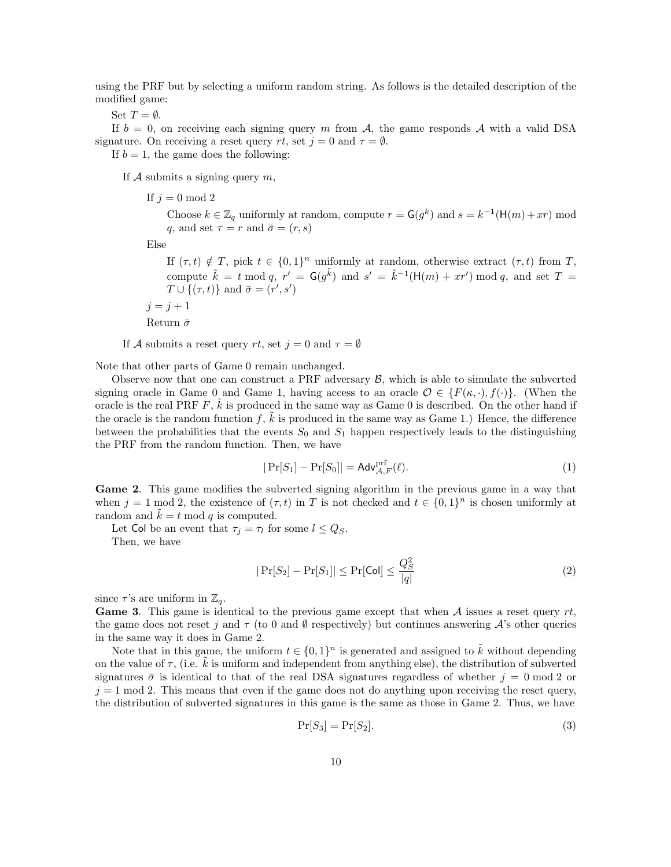using the PRF but by selecting a uniform random string. As follows is the detailed description of the modified game:

Set  $T = \emptyset$ .

If  $b = 0$ , on receiving each signing query m from A, the game responds A with a valid DSA signature. On receiving a reset query rt, set  $j = 0$  and  $\tau = \emptyset$ .

If  $b = 1$ , the game does the following:

If A submits a signing query  $m$ ,

If  $j = 0 \mod 2$ 

Choose  $k \in \mathbb{Z}_q$  uniformly at random, compute  $r = G(g^k)$  and  $s = k^{-1}(\mathsf{H}(m) + xr)$  mod q, and set  $\tau = r$  and  $\bar{\sigma} = (r, s)$ 

Else

If  $(\tau, t) \notin T$ , pick  $t \in \{0, 1\}^n$  uniformly at random, otherwise extract  $(\tau, t)$  from T, compute  $\tilde{k} = t \mod q$ ,  $r' = \mathsf{G}(g^{\tilde{k}})$  and  $s' = \tilde{k}^{-1}(\mathsf{H}(m) + xr') \mod q$ , and set  $T =$  $T \cup \{(\tau, t)\}\$ and  $\bar{\sigma} = (r', s')$  $j = j + 1$ 

Return  $\bar{\sigma}$ 

If A submits a reset query rt, set  $j = 0$  and  $\tau = \emptyset$ 

Note that other parts of Game 0 remain unchanged.

Observe now that one can construct a PRF adversary  $\beta$ , which is able to simulate the subverted signing oracle in Game 0 and Game 1, having access to an oracle  $\mathcal{O} \in \{F(\kappa, \cdot), f(\cdot)\}.$  (When the oracle is the real PRF  $F$ ,  $\tilde{k}$  is produced in the same way as Game 0 is described. On the other hand if the oracle is the random function f,  $\tilde{k}$  is produced in the same way as Game 1.) Hence, the difference between the probabilities that the events  $S_0$  and  $S_1$  happen respectively leads to the distinguishing the PRF from the random function. Then, we have

<span id="page-9-0"></span>
$$
|\Pr[S_1] - \Pr[S_0]| = \mathsf{Adv}_{\mathcal{A},F}^{\text{prf}}(\ell). \tag{1}
$$

Game 2. This game modifies the subverted signing algorithm in the previous game in a way that when  $j = 1 \mod 2$ , the existence of  $(\tau, t)$  in T is not checked and  $t \in \{0, 1\}^n$  is chosen uniformly at random and  $\tilde{k} = t \mod q$  is computed.

Let Col be an event that  $\tau_i = \tau_l$  for some  $l \leq Q_s$ . Then, we have

> <span id="page-9-1"></span> $|\Pr[S_2] - \Pr[S_1]| \leq \Pr[\mathsf{Col}] \leq \frac{Q_S^2}{\log 2}$  $|q|$ (2)

since  $\tau$ 's are uniform in  $\mathbb{Z}_q$ .

**Game 3.** This game is identical to the previous game except that when  $\mathcal A$  issues a reset query  $rt$ , the game does not reset j and  $\tau$  (to 0 and  $\emptyset$  respectively) but continues answering A's other queries in the same way it does in Game 2.

Note that in this game, the uniform  $t \in \{0,1\}^n$  is generated and assigned to  $\tilde{k}$  without depending on the value of  $\tau$ , (i.e. k is uniform and independent from anything else), the distribution of subverted signatures  $\bar{\sigma}$  is identical to that of the real DSA signatures regardless of whether  $j = 0 \mod 2$  or  $j = 1 \mod 2$ . This means that even if the game does not do anything upon receiving the reset query, the distribution of subverted signatures in this game is the same as those in Game 2. Thus, we have

<span id="page-9-2"></span>
$$
\Pr[S_3] = \Pr[S_2].\tag{3}
$$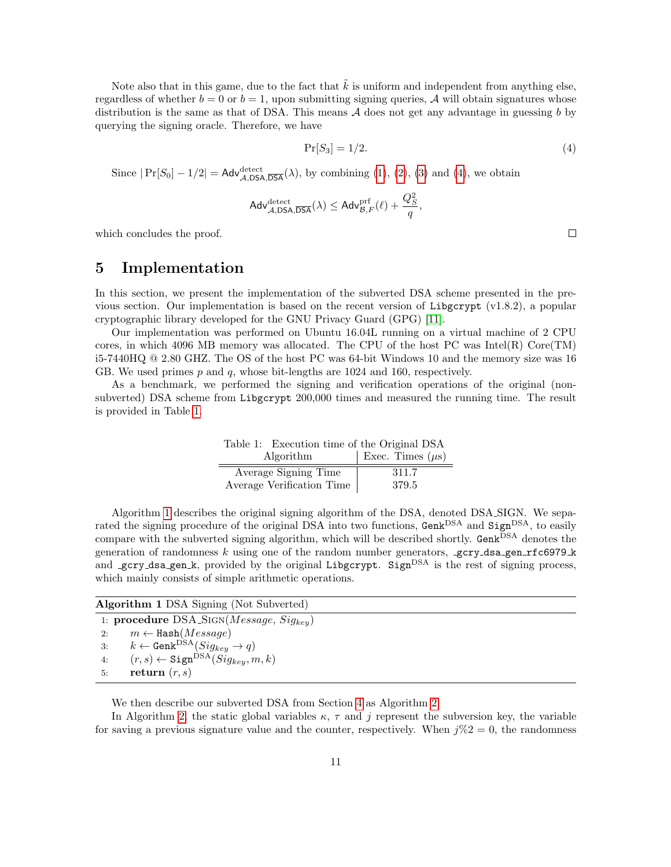Note also that in this game, due to the fact that  $\tilde{k}$  is uniform and independent from anything else, regardless of whether  $b = 0$  or  $b = 1$ , upon submitting signing queries, A will obtain signatures whose distribution is the same as that of DSA. This means  $A$  does not get any advantage in guessing b by querying the signing oracle. Therefore, we have

$$
\Pr[S_3] = 1/2. \tag{4}
$$

,

Since  $|\Pr[S_0] - 1/2| = \mathsf{Adv}_{\mathcal{A},\mathsf{DSA},\overline{\mathsf{DSA}}}(\lambda)$ , by combining [\(1\)](#page-9-0), [\(2\)](#page-9-1), [\(3\)](#page-9-2) and [\(4\)](#page-10-1), we obtain

$$
\mathsf{Adv}_{\mathcal{A},\mathsf{DSA},\overline{\mathsf{DSA}}}^{\mathsf{detect}}(\lambda) \leq \mathsf{Adv}_{\mathcal{B},F}^{\operatorname{prf}}(\ell) + \frac{Q_S^2}{q}
$$

which concludes the proof.

## <span id="page-10-0"></span>5 Implementation

In this section, we present the implementation of the subverted DSA scheme presented in the previous section. Our implementation is based on the recent version of Libgcrypt  $(v1.8.2)$ , a popular cryptographic library developed for the GNU Privacy Guard (GPG) [\[11\]](#page-17-9).

Our implementation was performed on Ubuntu 16.04L running on a virtual machine of 2 CPU cores, in which 4096 MB memory was allocated. The CPU of the host PC was Intel(R) Core $(TM)$ i5-7440HQ @ 2.80 GHZ. The OS of the host PC was 64-bit Windows 10 and the memory size was 16 GB. We used primes  $p$  and  $q$ , whose bit-lengths are 1024 and 160, respectively.

As a benchmark, we performed the signing and verification operations of the original (nonsubverted) DSA scheme from Libgcrypt 200,000 times and measured the running time. The result is provided in Table [1.](#page-10-2)

<span id="page-10-2"></span>Table 1: Execution time of the Original DSA Algorithm  $|\text{Exec. Times }(\mu s)|$ Average Signing Time 311.7 Average Verification Time 379.5

Algorithm [1](#page-10-3) describes the original signing algorithm of the DSA, denoted DSA SIGN. We separated the signing procedure of the original DSA into two functions, Genk<sup>DSA</sup> and Sign<sup>DSA</sup>, to easily compare with the subverted signing algorithm, which will be described shortly. Genk<sup>DSA</sup> denotes the generation of randomness k using one of the random number generators,  $\texttt{gcty}$  dsa gen rfc6979 k and gcry\_dsa\_gen\_k, provided by the original Libgcrypt. Sign<sup>DSA</sup> is the rest of signing process, which mainly consists of simple arithmetic operations.

<span id="page-10-3"></span>Algorithm 1 DSA Signing (Not Subverted) 1: procedure  $DSA_SIGN(Message, Sig_{kev})$ 2:  $m \leftarrow$  Hash( $Message$ ) 3:  $k \leftarrow \text{Genk}^{\text{DSA}}(Sig_{key} \rightarrow q)$ 4:  $(r, s) \leftarrow$  Sign<sup>DSA</sup> $(Sig_{key}, m, k)$ 5: return  $(r, s)$ 

We then describe our subverted DSA from Section [4](#page-6-0) as Algorithm [2.](#page-11-0)

In Algorithm [2,](#page-11-0) the static global variables  $\kappa$ ,  $\tau$  and j represent the subversion key, the variable for saving a previous signature value and the counter, respectively. When  $j\%2 = 0$ , the randomness

<span id="page-10-1"></span> $\Box$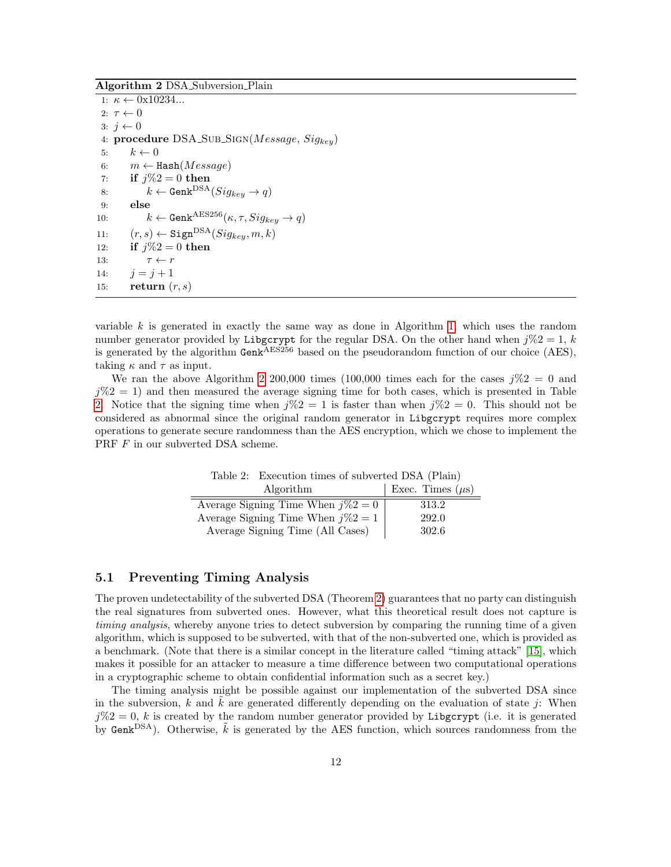<span id="page-11-0"></span>Algorithm 2 DSA Subversion Plain

1:  $\kappa \leftarrow 0 \times 10234...$ 2:  $\tau \leftarrow 0$ 3:  $j \leftarrow 0$ 4: procedure  $DSA\_SUB\_Sign(Message, Sig_{key})$ 5:  $k \leftarrow 0$ 6:  $m \leftarrow$  Hash( $Message$ ) 7: if  $j\%2 = 0$  then 8:  $k \leftarrow \text{Genk}^{\text{DSA}}(Sig_{key} \rightarrow q)$ 9: else 10:  $k \leftarrow \text{Genk}^{\text{AES256}}(\kappa, \tau, Sig_{key} \rightarrow q)$ 11:  $(r, s) \leftarrow$  Sign<sup>DSA</sup> $(Sig_{key}, m, k)$ 12: **if**  $j\%2 = 0$  then 13:  $\tau \leftarrow r$ 14:  $j = j + 1$ 15: return  $(r, s)$ 

variable  $k$  is generated in exactly the same way as done in Algorithm [1,](#page-10-3) which uses the random number generator provided by Libgcrypt for the regular DSA. On the other hand when  $j\%2 = 1, k$ is generated by the algorithm  $Genk<sup>AES256</sup>$  based on the pseudorandom function of our choice (AES), taking  $\kappa$  and  $\tau$  as input.

We ran the above Algorithm [2](#page-11-0) 200,000 times (100,000 times each for the cases  $i\%2 = 0$  and  $j\%2 = 1$ ) and then measured the average signing time for both cases, which is presented in Table [2.](#page-11-1) Notice that the signing time when  $i\%2 = 1$  is faster than when  $i\%2 = 0$ . This should not be considered as abnormal since the original random generator in Libgcrypt requires more complex operations to generate secure randomness than the AES encryption, which we chose to implement the PRF  $F$  in our subverted DSA scheme.

<span id="page-11-1"></span>Table 2: Execution times of subverted DSA (Plain) Algorithm  $|\text{Exec. Times } (\mu s)|$ Average Signing Time When  $j\%2 = 0$  313.2 Average Signing Time When  $j\%2 = 1$  292.0 Average Signing Time (All Cases) 302.6

#### 5.1 Preventing Timing Analysis

The proven undetectability of the subverted DSA (Theorem [2\)](#page-8-0) guarantees that no party can distinguish the real signatures from subverted ones. However, what this theoretical result does not capture is timing analysis, whereby anyone tries to detect subversion by comparing the running time of a given algorithm, which is supposed to be subverted, with that of the non-subverted one, which is provided as a benchmark. (Note that there is a similar concept in the literature called "timing attack" [\[15\]](#page-17-10), which makes it possible for an attacker to measure a time difference between two computational operations in a cryptographic scheme to obtain confidential information such as a secret key.)

The timing analysis might be possible against our implementation of the subverted DSA since in the subversion, k and  $\tilde{k}$  are generated differently depending on the evaluation of state j: When  $j\%2 = 0$ , k is created by the random number generator provided by Libgcrypt (i.e. it is generated by Genk<sup>DSA</sup>). Otherwise,  $\tilde{k}$  is generated by the AES function, which sources randomness from the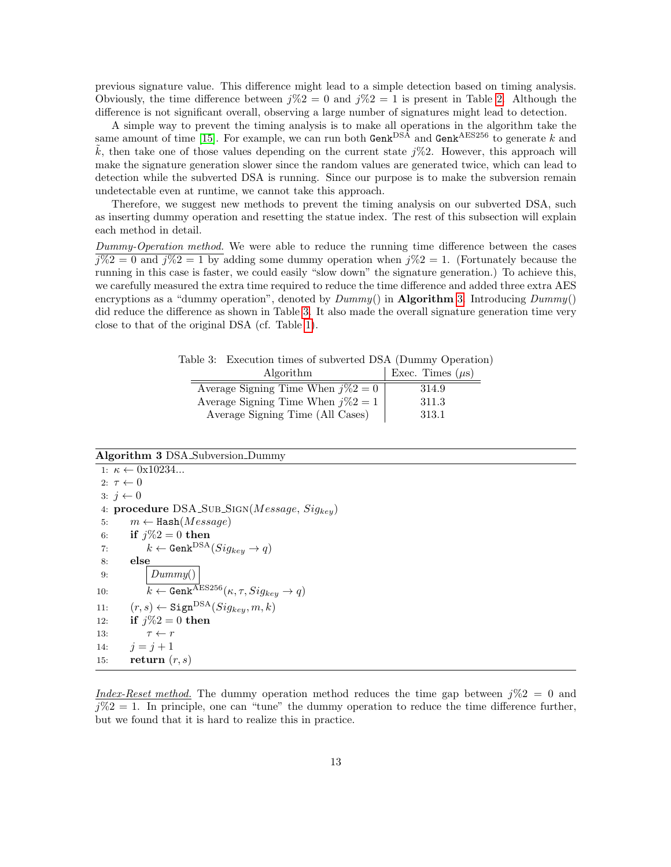previous signature value. This difference might lead to a simple detection based on timing analysis. Obviously, the time difference between  $j\%2 = 0$  and  $j\%2 = 1$  is present in Table [2.](#page-11-1) Although the difference is not significant overall, observing a large number of signatures might lead to detection.

A simple way to prevent the timing analysis is to make all operations in the algorithm take the same amount of time [\[15\]](#page-17-10). For example, we can run both  $\text{Genk}^{\text{DSA}}$  and  $\text{Genk}^{\text{AES256}}$  to generate k and  $\tilde{k}$ , then take one of those values depending on the current state  $i\%2$ . However, this approach will make the signature generation slower since the random values are generated twice, which can lead to detection while the subverted DSA is running. Since our purpose is to make the subversion remain undetectable even at runtime, we cannot take this approach.

Therefore, we suggest new methods to prevent the timing analysis on our subverted DSA, such as inserting dummy operation and resetting the statue index. The rest of this subsection will explain each method in detail.

Dummy-Operation method. We were able to reduce the running time difference between the cases  $\sqrt{1\%2} = 0$  and  $\sqrt{1\%2} = 1$  by adding some dummy operation when  $\sqrt{1\%2} = 1$ . (Fortunately because the running in this case is faster, we could easily "slow down" the signature generation.) To achieve this, we carefully measured the extra time required to reduce the time difference and added three extra AES encryptions as a "dummy operation", denoted by  $Dummy()$  in **Algorithm [3.](#page-12-0)** Introducing  $Dummy()$ did reduce the difference as shown in Table [3.](#page-12-1) It also made the overall signature generation time very close to that of the original DSA (cf. Table [1\)](#page-10-3).

<span id="page-12-1"></span>Table 3: Execution times of subverted DSA (Dummy Operation) Algorithm  $\vert$  Exec. Times  $(\mu s)$ Average Signing Time When  $j\%2 = 0$  | 314.9

| Average signing 1 ime when $\gamma\gamma_0 z = 0$ | 514.9 |
|---------------------------------------------------|-------|
| Average Signing Time When $j\%2 = 1$              | 311.3 |
| Average Signing Time (All Cases)                  | 313.1 |

### <span id="page-12-0"></span>Algorithm 3 DSA Subversion Dummy

1:  $\kappa \leftarrow 0x10234...$ 2:  $\tau \leftarrow 0$  $3: j \leftarrow 0$ 4: procedure  $DSA\_SUB\_Sign(Message, Sig_{key})$ 5:  $m \leftarrow$  Hash( $Message$ ) 6: if  $j\%2 = 0$  then 7:  $k \leftarrow \text{Genk}^{\text{DSA}}(Sig_{key} \rightarrow q)$ 8: else 9:  $|Dummy()|$ 10:  $k \leftarrow \text{Genk}^{\text{AES256}}(\kappa, \tau, Sig_{key} \rightarrow q)$ 11:  $(r, s) \leftarrow$  Sign<sup>DSA</sup> $(Sig_{key}, m, k)$ 12: **if**  $j\%2 = 0$  then 13:  $\tau \leftarrow r$ 14:  $j = j + 1$ 15: return  $(r, s)$ 

Index-Reset method. The dummy operation method reduces the time gap between  $i\%2 = 0$  and  $j\%2 = 1$ . In principle, one can "tune" the dummy operation to reduce the time difference further, but we found that it is hard to realize this in practice.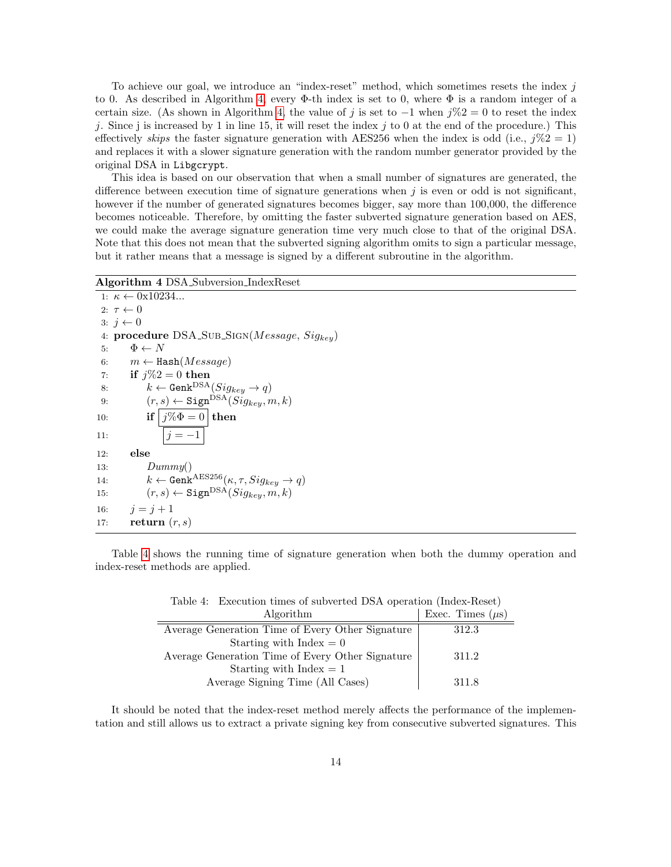To achieve our goal, we introduce an "index-reset" method, which sometimes resets the index  $j$ to 0. As described in Algorithm [4,](#page-13-0) every Φ-th index is set to 0, where Φ is a random integer of a certain size. (As shown in Algorithm [4,](#page-13-1) the value of j is set to  $-1$  when  $j\%2 = 0$  to reset the index j. Since j is increased by 1 in line 15, it will reset the index j to 0 at the end of the procedure.) This effectively skips the faster signature generation with AES256 when the index is odd (i.e.,  $j\%2 = 1$ ) and replaces it with a slower signature generation with the random number generator provided by the original DSA in Libgcrypt.

This idea is based on our observation that when a small number of signatures are generated, the difference between execution time of signature generations when  $j$  is even or odd is not significant, however if the number of generated signatures becomes bigger, say more than 100,000, the difference becomes noticeable. Therefore, by omitting the faster subverted signature generation based on AES, we could make the average signature generation time very much close to that of the original DSA. Note that this does not mean that the subverted signing algorithm omits to sign a particular message, but it rather means that a message is signed by a different subroutine in the algorithm.

#### <span id="page-13-0"></span>Algorithm 4 DSA Subversion IndexReset

```
1: \kappa \leftarrow 0x10234...2: \tau \leftarrow 03: j \leftarrow 04: procedure DSA\_SUB\_Sign(Message, Sig_{key})5: \Phi \leftarrow N6: m \leftarrow Hash(Message)
 7: if j\%2 = 0 then
 8: k \leftarrow \text{Genk}^{\text{DSA}}(Sig_{key} \rightarrow q)9: (r, s) \leftarrow \text{Sign}^{\text{DSA}}(\tilde{Sig}_{key}, m, k)10: if j\% \Phi = 0 then
11: |j = -112: else
13: Dummy()14: k \leftarrow \text{Genk}^{\text{AES256}}(\kappa, \tau, Sig_{key} \rightarrow q)15: (r, s) \leftarrow Sign<sup>DSA</sup>(Sig_{key}, m, k)16: j = j + 117: return (r, s)
```
Table [4](#page-13-1) shows the running time of signature generation when both the dummy operation and index-reset methods are applied.

| Algorithm                                        | Exec. Times $(\mu s)$ |
|--------------------------------------------------|-----------------------|
| Average Generation Time of Every Other Signature | 312.3                 |
| Starting with Index $= 0$                        |                       |
| Average Generation Time of Every Other Signature | 311.2                 |
| Starting with Index $= 1$                        |                       |
| Average Signing Time (All Cases)                 | 311.8                 |

<span id="page-13-1"></span>Table 4: Execution times of subverted DSA operation (Index-Reset)

It should be noted that the index-reset method merely affects the performance of the implementation and still allows us to extract a private signing key from consecutive subverted signatures. This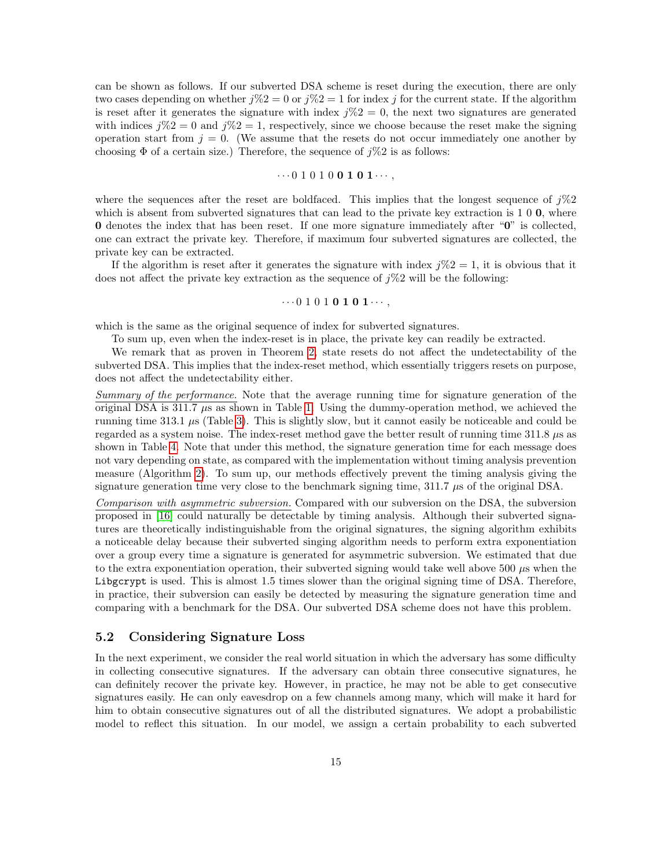can be shown as follows. If our subverted DSA scheme is reset during the execution, there are only two cases depending on whether  $j\%2 = 0$  or  $j\%2 = 1$  for index j for the current state. If the algorithm is reset after it generates the signature with index  $i\%2 = 0$ , the next two signatures are generated with indices  $j\%2 = 0$  and  $j\%2 = 1$ , respectively, since we choose because the reset make the signing operation start from  $j = 0$ . (We assume that the resets do not occur immediately one another by choosing  $\Phi$  of a certain size.) Therefore, the sequence of  $i\%2$  is as follows:

#### $\cdots 0 1 0 1 0 0 1 0 1 \cdots,$

where the sequences after the reset are boldfaced. This implies that the longest sequence of  $j\%2$ which is absent from subverted signatures that can lead to the private key extraction is  $1\ 0\ 0$ , where 0 denotes the index that has been reset. If one more signature immediately after "0" is collected, one can extract the private key. Therefore, if maximum four subverted signatures are collected, the private key can be extracted.

If the algorithm is reset after it generates the signature with index  $j\%2 = 1$ , it is obvious that it does not affect the private key extraction as the sequence of  $j\%2$  will be the following:

#### $\cdots 0 1 0 1 0 1 0 1 \cdots$

which is the same as the original sequence of index for subverted signatures.

To sum up, even when the index-reset is in place, the private key can readily be extracted. We remark that as proven in Theorem [2,](#page-8-0) state resets do not affect the undetectability of the subverted DSA. This implies that the index-reset method, which essentially triggers resets on purpose, does not affect the undetectability either.

Summary of the performance. Note that the average running time for signature generation of the original DSA is 311.7 µs as shown in Table [1.](#page-10-2) Using the dummy-operation method, we achieved the running time  $313.1 \mu s$  (Table [3\)](#page-12-1). This is slightly slow, but it cannot easily be noticeable and could be regarded as a system noise. The index-reset method gave the better result of running time  $311.8 \mu s$  as shown in Table [4.](#page-13-1) Note that under this method, the signature generation time for each message does not vary depending on state, as compared with the implementation without timing analysis prevention measure (Algorithm [2\)](#page-11-0). To sum up, our methods effectively prevent the timing analysis giving the signature generation time very close to the benchmark signing time,  $311.7 \mu s$  of the original DSA.

Comparison with asymmetric subversion. Compared with our subversion on the DSA, the subversion proposed in [\[16\]](#page-17-3) could naturally be detectable by timing analysis. Although their subverted signatures are theoretically indistinguishable from the original signatures, the signing algorithm exhibits a noticeable delay because their subverted singing algorithm needs to perform extra exponentiation over a group every time a signature is generated for asymmetric subversion. We estimated that due to the extra exponentiation operation, their subverted signing would take well above 500  $\mu$ s when the Libgcrypt is used. This is almost 1.5 times slower than the original signing time of DSA. Therefore, in practice, their subversion can easily be detected by measuring the signature generation time and comparing with a benchmark for the DSA. Our subverted DSA scheme does not have this problem.

#### 5.2 Considering Signature Loss

In the next experiment, we consider the real world situation in which the adversary has some difficulty in collecting consecutive signatures. If the adversary can obtain three consecutive signatures, he can definitely recover the private key. However, in practice, he may not be able to get consecutive signatures easily. He can only eavesdrop on a few channels among many, which will make it hard for him to obtain consecutive signatures out of all the distributed signatures. We adopt a probabilistic model to reflect this situation. In our model, we assign a certain probability to each subverted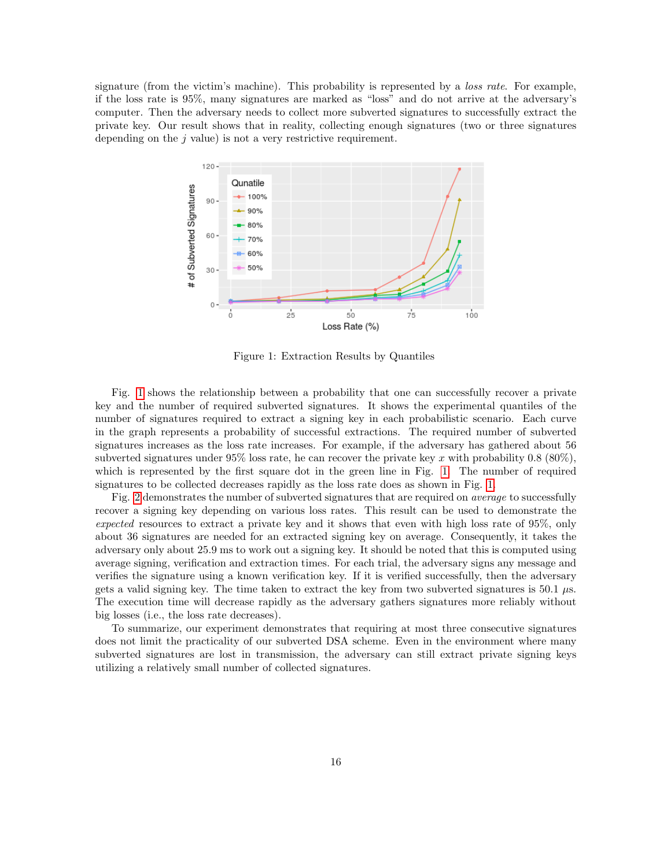signature (from the victim's machine). This probability is represented by a *loss rate*. For example, if the loss rate is 95%, many signatures are marked as "loss" and do not arrive at the adversary's computer. Then the adversary needs to collect more subverted signatures to successfully extract the private key. Our result shows that in reality, collecting enough signatures (two or three signatures depending on the  $j$  value) is not a very restrictive requirement.



<span id="page-15-0"></span>Figure 1: Extraction Results by Quantiles

Fig. [1](#page-15-0) shows the relationship between a probability that one can successfully recover a private key and the number of required subverted signatures. It shows the experimental quantiles of the number of signatures required to extract a signing key in each probabilistic scenario. Each curve in the graph represents a probability of successful extractions. The required number of subverted signatures increases as the loss rate increases. For example, if the adversary has gathered about 56 subverted signatures under 95% loss rate, he can recover the private key x with probability 0.8 (80%), which is represented by the first square dot in the green line in Fig. [1.](#page-15-0) The number of required signatures to be collected decreases rapidly as the loss rate does as shown in Fig. [1.](#page-15-0)

Fig. [2](#page-16-1) demonstrates the number of subverted signatures that are required on *average* to successfully recover a signing key depending on various loss rates. This result can be used to demonstrate the expected resources to extract a private key and it shows that even with high loss rate of 95%, only about 36 signatures are needed for an extracted signing key on average. Consequently, it takes the adversary only about 25.9 ms to work out a signing key. It should be noted that this is computed using average signing, verification and extraction times. For each trial, the adversary signs any message and verifies the signature using a known verification key. If it is verified successfully, then the adversary gets a valid signing key. The time taken to extract the key from two subverted signatures is  $50.1 \mu s$ . The execution time will decrease rapidly as the adversary gathers signatures more reliably without big losses (i.e., the loss rate decreases).

To summarize, our experiment demonstrates that requiring at most three consecutive signatures does not limit the practicality of our subverted DSA scheme. Even in the environment where many subverted signatures are lost in transmission, the adversary can still extract private signing keys utilizing a relatively small number of collected signatures.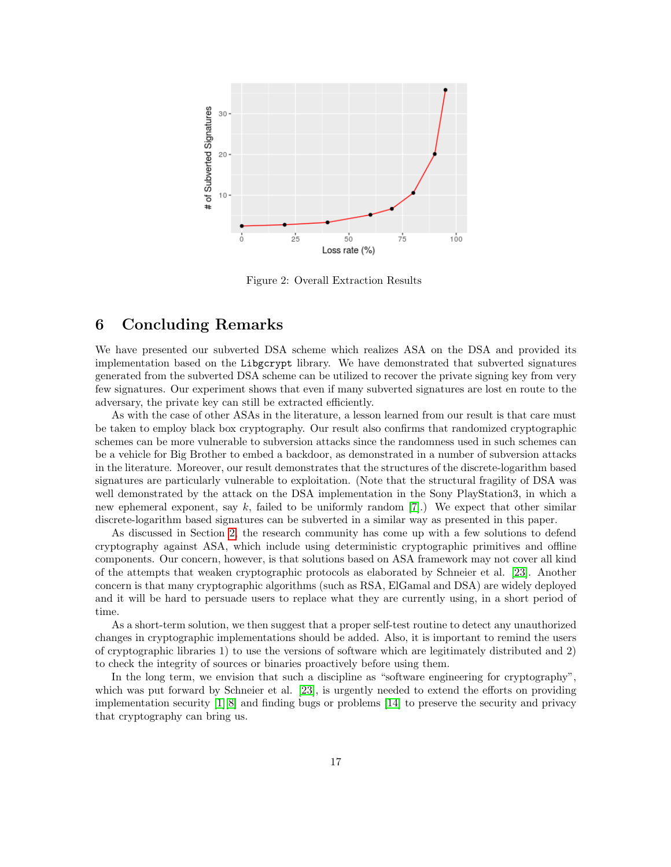

<span id="page-16-1"></span>Figure 2: Overall Extraction Results

## <span id="page-16-0"></span>6 Concluding Remarks

We have presented our subverted DSA scheme which realizes ASA on the DSA and provided its implementation based on the Libgcrypt library. We have demonstrated that subverted signatures generated from the subverted DSA scheme can be utilized to recover the private signing key from very few signatures. Our experiment shows that even if many subverted signatures are lost en route to the adversary, the private key can still be extracted efficiently.

As with the case of other ASAs in the literature, a lesson learned from our result is that care must be taken to employ black box cryptography. Our result also confirms that randomized cryptographic schemes can be more vulnerable to subversion attacks since the randomness used in such schemes can be a vehicle for Big Brother to embed a backdoor, as demonstrated in a number of subversion attacks in the literature. Moreover, our result demonstrates that the structures of the discrete-logarithm based signatures are particularly vulnerable to exploitation. (Note that the structural fragility of DSA was well demonstrated by the attack on the DSA implementation in the Sony PlayStation3, in which a new ephemeral exponent, say k, failed to be uniformly random [\[7\]](#page-17-11).) We expect that other similar discrete-logarithm based signatures can be subverted in a similar way as presented in this paper.

As discussed in Section [2,](#page-2-0) the research community has come up with a few solutions to defend cryptography against ASA, which include using deterministic cryptographic primitives and offline components. Our concern, however, is that solutions based on ASA framework may not cover all kind of the attempts that weaken cryptographic protocols as elaborated by Schneier et al. [\[23\]](#page-18-10). Another concern is that many cryptographic algorithms (such as RSA, ElGamal and DSA) are widely deployed and it will be hard to persuade users to replace what they are currently using, in a short period of time.

As a short-term solution, we then suggest that a proper self-test routine to detect any unauthorized changes in cryptographic implementations should be added. Also, it is important to remind the users of cryptographic libraries 1) to use the versions of software which are legitimately distributed and 2) to check the integrity of sources or binaries proactively before using them.

In the long term, we envision that such a discipline as "software engineering for cryptography", which was put forward by Schneier et al. [\[23\]](#page-18-10), is urgently needed to extend the efforts on providing implementation security [\[1\]](#page-17-12)[\[8\]](#page-17-13) and finding bugs or problems [\[14\]](#page-17-14) to preserve the security and privacy that cryptography can bring us.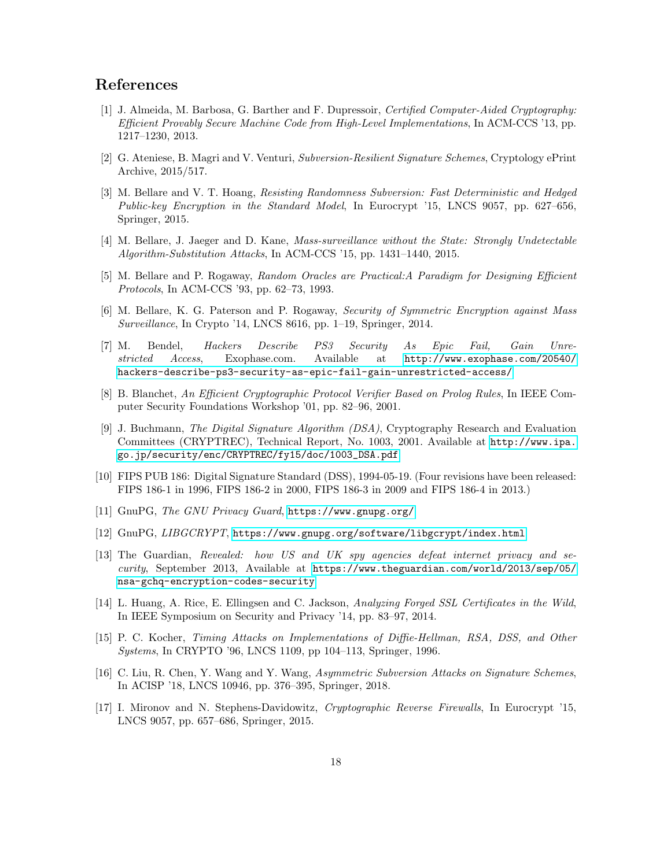# References

- <span id="page-17-12"></span>[1] J. Almeida, M. Barbosa, G. Barther and F. Dupressoir, Certified Computer-Aided Cryptography: Efficient Provably Secure Machine Code from High-Level Implementations, In ACM-CCS '13, pp. 1217–1230, 2013.
- <span id="page-17-2"></span>[2] G. Ateniese, B. Magri and V. Venturi, Subversion-Resilient Signature Schemes, Cryptology ePrint Archive, 2015/517.
- <span id="page-17-7"></span>[3] M. Bellare and V. T. Hoang, Resisting Randomness Subversion: Fast Deterministic and Hedged Public-key Encryption in the Standard Model, In Eurocrypt '15, LNCS 9057, pp. 627–656, Springer, 2015.
- <span id="page-17-6"></span>[4] M. Bellare, J. Jaeger and D. Kane, Mass-surveillance without the State: Strongly Undetectable Algorithm-Substitution Attacks, In ACM-CCS '15, pp. 1431–1440, 2015.
- <span id="page-17-15"></span>[5] M. Bellare and P. Rogaway, Random Oracles are Practical:A Paradigm for Designing Efficient Protocols, In ACM-CCS '93, pp. 62–73, 1993.
- <span id="page-17-1"></span>[6] M. Bellare, K. G. Paterson and P. Rogaway, Security of Symmetric Encryption against Mass Surveillance, In Crypto '14, LNCS 8616, pp. 1–19, Springer, 2014.
- <span id="page-17-11"></span>[7] M. Bendel, Hackers Describe PS3 Security As Epic Fail, Gain Unrestricted Access, Exophase.com. Available at [http://www.exophase.com/20540/](http://www.exophase.com/20540/hackers-describe-ps3-security-as-epic-fail-gain-unrestricted-access/) [hackers-describe-ps3-security-as-epic-fail-gain-unrestricted-access/](http://www.exophase.com/20540/hackers-describe-ps3-security-as-epic-fail-gain-unrestricted-access/)
- <span id="page-17-13"></span>[8] B. Blanchet, An Efficient Cryptographic Protocol Verifier Based on Prolog Rules, In IEEE Computer Security Foundations Workshop '01, pp. 82–96, 2001.
- [9] J. Buchmann, The Digital Signature Algorithm (DSA), Cryptography Research and Evaluation Committees (CRYPTREC), Technical Report, No. 1003, 2001. Available at [http://www.ipa.](http://www.ipa.go.jp/security/enc/CRYPTREC/fy15/doc/1003_DSA.pdf) [go.jp/security/enc/CRYPTREC/fy15/doc/1003\\_DSA.pdf](http://www.ipa.go.jp/security/enc/CRYPTREC/fy15/doc/1003_DSA.pdf)
- <span id="page-17-4"></span>[10] FIPS PUB 186: Digital Signature Standard (DSS), 1994-05-19. (Four revisions have been released: FIPS 186-1 in 1996, FIPS 186-2 in 2000, FIPS 186-3 in 2009 and FIPS 186-4 in 2013.)
- <span id="page-17-9"></span>[11] GnuPG, The GNU Privacy Guard, <https://www.gnupg.org/>
- <span id="page-17-5"></span>[12] GnuPG, LIBGCRYPT, <https://www.gnupg.org/software/libgcrypt/index.html>
- <span id="page-17-0"></span>[13] The Guardian, Revealed: how US and UK spy agencies defeat internet privacy and security, September 2013, Available at [https://www.theguardian.com/world/2013/sep/05/](https://www.theguardian.com/world/2013/sep/05/nsa-gchq-encryption-codes-security) [nsa-gchq-encryption-codes-security](https://www.theguardian.com/world/2013/sep/05/nsa-gchq-encryption-codes-security)
- <span id="page-17-14"></span>[14] L. Huang, A. Rice, E. Ellingsen and C. Jackson, Analyzing Forged SSL Certificates in the Wild, In IEEE Symposium on Security and Privacy '14, pp. 83–97, 2014.
- <span id="page-17-10"></span>[15] P. C. Kocher, Timing Attacks on Implementations of Diffie-Hellman, RSA, DSS, and Other Systems, In CRYPTO '96, LNCS 1109, pp 104–113, Springer, 1996.
- <span id="page-17-3"></span>[16] C. Liu, R. Chen, Y. Wang and Y. Wang, Asymmetric Subversion Attacks on Signature Schemes, In ACISP '18, LNCS 10946, pp. 376–395, Springer, 2018.
- <span id="page-17-8"></span>[17] I. Mironov and N. Stephens-Davidowitz, Cryptographic Reverse Firewalls, In Eurocrypt '15, LNCS 9057, pp. 657–686, Springer, 2015.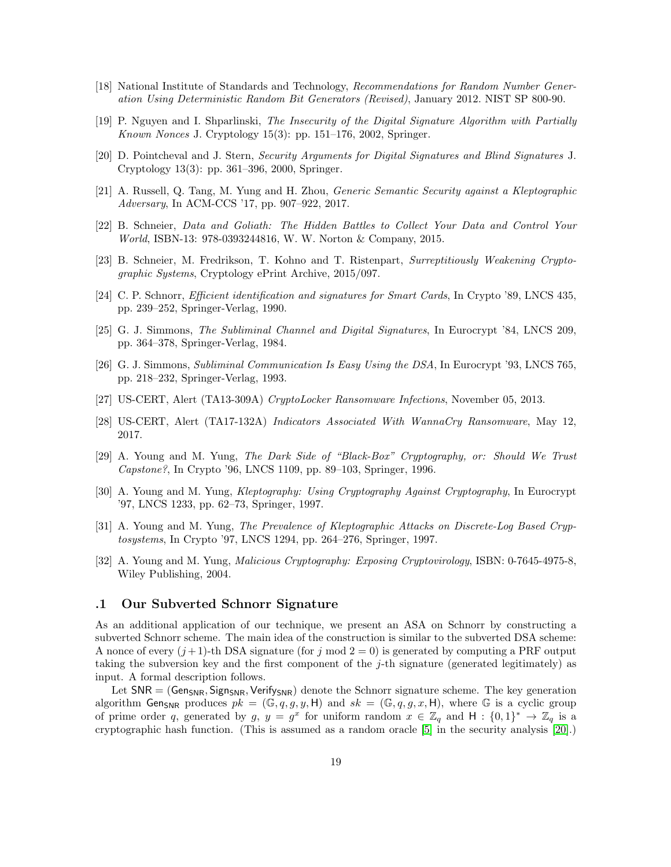- [18] National Institute of Standards and Technology, Recommendations for Random Number Generation Using Deterministic Random Bit Generators (Revised), January 2012. NIST SP 800-90.
- <span id="page-18-8"></span>[19] P. Nguyen and I. Shparlinski, The Insecurity of the Digital Signature Algorithm with Partially Known Nonces J. Cryptology  $15(3)$ : pp.  $151-176$ , 2002, Springer.
- <span id="page-18-11"></span>[20] D. Pointcheval and J. Stern, Security Arguments for Digital Signatures and Blind Signatures J. Cryptology 13(3): pp. 361–396, 2000, Springer.
- <span id="page-18-9"></span>[21] A. Russell, Q. Tang, M. Yung and H. Zhou, Generic Semantic Security against a Kleptographic Adversary, In ACM-CCS '17, pp. 907–922, 2017.
- [22] B. Schneier, Data and Goliath: The Hidden Battles to Collect Your Data and Control Your World, ISBN-13: 978-0393244816, W. W. Norton & Company, 2015.
- <span id="page-18-10"></span>[23] B. Schneier, M. Fredrikson, T. Kohno and T. Ristenpart, Surreptitiously Weakening Cryptographic Systems, Cryptology ePrint Archive, 2015/097.
- <span id="page-18-1"></span>[24] C. P. Schnorr, Efficient identification and signatures for Smart Cards, In Crypto '89, LNCS 435, pp. 239–252, Springer-Verlag, 1990.
- <span id="page-18-6"></span>[25] G. J. Simmons, The Subliminal Channel and Digital Signatures, In Eurocrypt '84, LNCS 209, pp. 364–378, Springer-Verlag, 1984.
- <span id="page-18-7"></span>[26] G. J. Simmons, Subliminal Communication Is Easy Using the DSA, In Eurocrypt '93, LNCS 765, pp. 218–232, Springer-Verlag, 1993.
- [27] US-CERT, Alert (TA13-309A) CryptoLocker Ransomware Infections, November 05, 2013.
- [28] US-CERT, Alert (TA17-132A) Indicators Associated With WannaCry Ransomware, May 12, 2017.
- <span id="page-18-3"></span>[29] A. Young and M. Yung, The Dark Side of "Black-Box" Cryptography, or: Should We Trust Capstone?, In Crypto '96, LNCS 1109, pp. 89–103, Springer, 1996.
- <span id="page-18-0"></span>[30] A. Young and M. Yung, Kleptography: Using Cryptography Against Cryptography, In Eurocrypt '97, LNCS 1233, pp. 62–73, Springer, 1997.
- <span id="page-18-4"></span>[31] A. Young and M. Yung, The Prevalence of Kleptographic Attacks on Discrete-Log Based Cryptosystems, In Crypto '97, LNCS 1294, pp. 264–276, Springer, 1997.
- <span id="page-18-5"></span>[32] A. Young and M. Yung, Malicious Cryptography: Exposing Cryptovirology, ISBN: 0-7645-4975-8, Wiley Publishing, 2004.

## <span id="page-18-2"></span>.1 Our Subverted Schnorr Signature

As an additional application of our technique, we present an ASA on Schnorr by constructing a subverted Schnorr scheme. The main idea of the construction is similar to the subverted DSA scheme: A nonce of every  $(j+1)$ -th DSA signature (for j mod  $2=0$ ) is generated by computing a PRF output taking the subversion key and the first component of the j-th signature (generated legitimately) as input. A formal description follows.

Let  $SNR = (Gen_{SNR}, Sign_{SNR}, Verify_{SNR})$  denote the Schnorr signature scheme. The key generation algorithm Gen<sub>SNR</sub> produces  $pk = (\mathbb{G}, q, g, y, \mathsf{H})$  and  $sk = (\mathbb{G}, q, g, x, \mathsf{H})$ , where  $\mathbb{G}$  is a cyclic group of prime order q, generated by  $g, y = g^x$  for uniform random  $x \in \mathbb{Z}_q$  and  $H : \{0,1\}^* \to \mathbb{Z}_q$  is a cryptographic hash function. (This is assumed as a random oracle [\[5\]](#page-17-15) in the security analysis [\[20\]](#page-18-11).)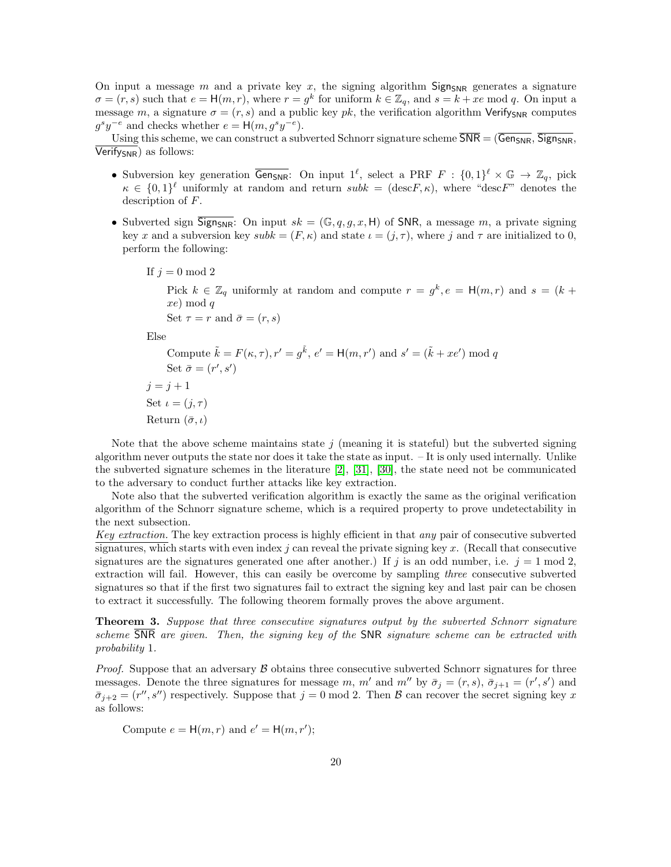On input a message m and a private key x, the signing algorithm  $Sign_{SNR}$  generates a signature  $\sigma = (r, s)$  such that  $e = H(m, r)$ , where  $r = g^k$  for uniform  $k \in \mathbb{Z}_q$ , and  $s = k + xe \mod q$ . On input a message m, a signature  $\sigma = (r, s)$  and a public key pk, the verification algorithm Verify<sub>SNR</sub> computes  $g^s y^{-e}$  and checks whether  $e = H(m, g^s y^{-e})$ .

Using this scheme, we can construct a subverted Schnorr signature scheme  $\overline{\text{SNR}} = (\overline{\text{Gen}_{\text{SNR}}}, \overline{\text{Sign}_{\text{SNR}}},$  $Verify<sub>SNR</sub>$  as follows:

- Subversion key generation  $\overline{\mathsf{Gen_{SNR}}}\colon$  On input  $1^\ell$ , select a PRF  $F : \{0,1\}^\ell \times \mathbb{G} \to \mathbb{Z}_q$ , pick  $\kappa \in \{0,1\}^{\ell}$  uniformly at random and return  $subk = (\text{desc} F, \kappa)$ , where "descF" denotes the description of F.
- Subverted sign  $\overline{\text{Sign}_{SNR}}$ : On input  $sk = (\mathbb{G}, q, g, x, \mathsf{H})$  of SNR, a message m, a private signing key x and a subversion key subk =  $(F, \kappa)$  and state  $\iota = (j, \tau)$ , where j and  $\tau$  are initialized to 0, perform the following:

If  $j = 0 \mod 2$ 

Pick  $k \in \mathbb{Z}_q$  uniformly at random and compute  $r = g^k, e = H(m,r)$  and  $s = (k +$ xe) mod q Set  $\tau = r$  and  $\bar{\sigma} = (r, s)$ 

Else

Compute 
$$
\tilde{k} = F(\kappa, \tau), r' = g\tilde{k}, e' = H(m, r')
$$
 and  $s' = (\tilde{k} + xe')$  mod  $q$   
\nSet  $\bar{\sigma} = (r', s')$   
\n $j = j + 1$   
\nSet  $\iota = (j, \tau)$   
\nReturn  $(\bar{\sigma}, \iota)$ 

Note that the above scheme maintains state  $j$  (meaning it is stateful) but the subverted signing algorithm never outputs the state nor does it take the state as input. – It is only used internally. Unlike the subverted signature schemes in the literature [\[2\]](#page-17-2), [\[31\]](#page-18-4), [\[30\]](#page-18-0), the state need not be communicated to the adversary to conduct further attacks like key extraction.

Note also that the subverted verification algorithm is exactly the same as the original verification algorithm of the Schnorr signature scheme, which is a required property to prove undetectability in the next subsection.

Key extraction. The key extraction process is highly efficient in that any pair of consecutive subverted signatures, which starts with even index  $j$  can reveal the private signing key  $x$ . (Recall that consecutive signatures are the signatures generated one after another.) If j is an odd number, i.e.  $j = 1 \mod 2$ , extraction will fail. However, this can easily be overcome by sampling three consecutive subverted signatures so that if the first two signatures fail to extract the signing key and last pair can be chosen to extract it successfully. The following theorem formally proves the above argument.

**Theorem 3.** Suppose that three consecutive signatures output by the subverted Schnorr signature scheme SNR are given. Then, the signing key of the SNR signature scheme can be extracted with probability 1.

*Proof.* Suppose that an adversary  $\beta$  obtains three consecutive subverted Schnorr signatures for three messages. Denote the three signatures for message m, m' and m'' by  $\bar{\sigma}_j = (r, s)$ ,  $\bar{\sigma}_{j+1} = (r', s')$  and  $\bar{\sigma}_{j+2} = (r'', s'')$  respectively. Suppose that  $j = 0 \text{ mod } 2$ . Then  $\beta$  can recover the secret signing key x as follows:

Compute  $e = H(m, r)$  and  $e' = H(m, r')$ ;